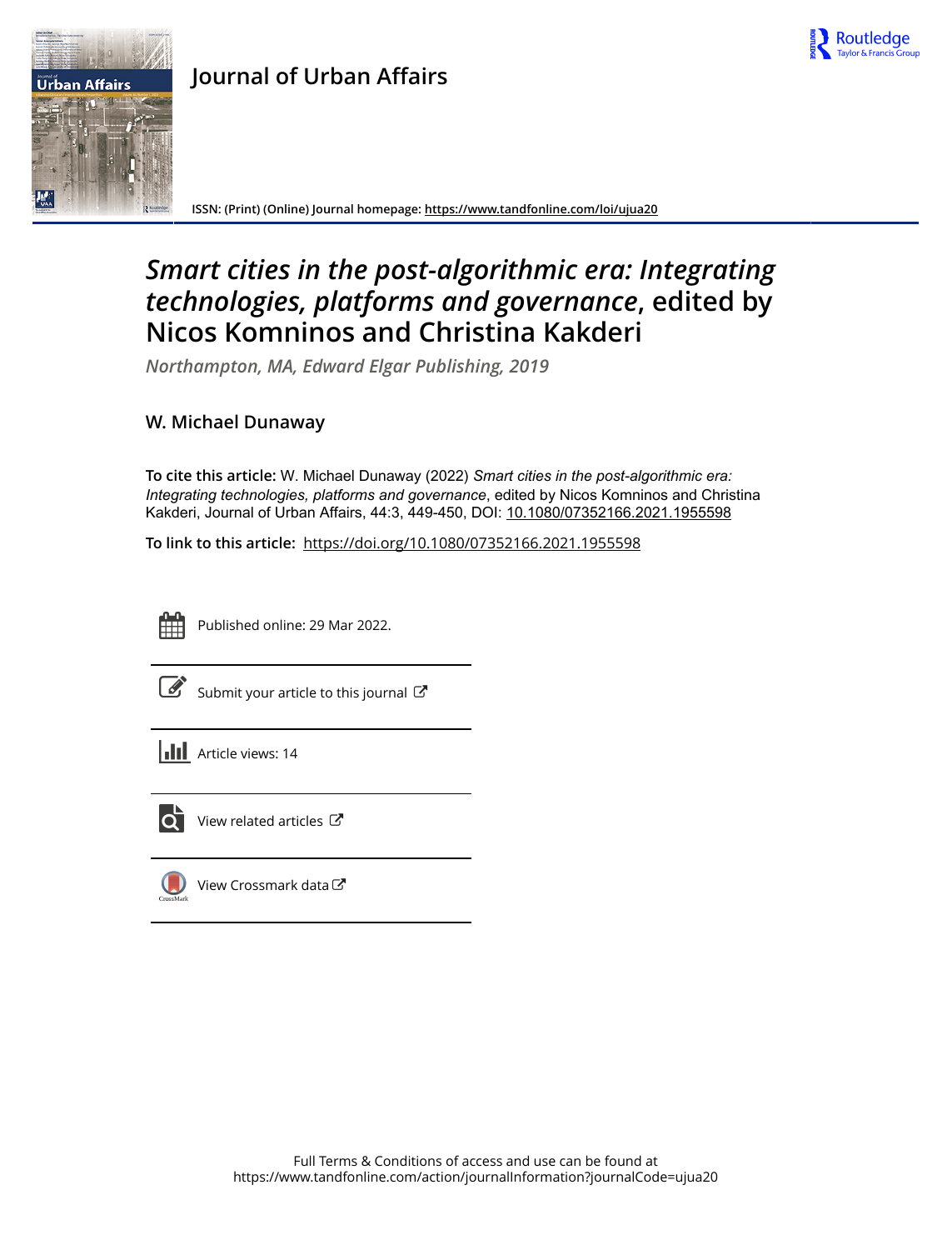

## **Journal of Urban Affairs**



**ISSN: (Print) (Online) Journal homepage:<https://www.tandfonline.com/loi/ujua20>**

## *Smart cities in the post-algorithmic era: Integrating technologies, platforms and governance***, edited by Nicos Komninos and Christina Kakderi**

*Northampton, MA, Edward Elgar Publishing, 2019*

## **W. Michael Dunaway**

To cite this article: W. Michael Dunaway (2022) *Smart cities in the post-algorithmic era: Integrating technologies, platforms and governance, edited by Nicos Komninos and Christina* Kakderi, Journal of Urban Affairs, 44:3, 449-450, DOI: [10.1080/07352166.2021.1955598](https://www.tandfonline.com/action/showCitFormats?doi=10.1080/07352166.2021.1955598)

**To link to this article:** <https://doi.org/10.1080/07352166.2021.1955598>



Published online: 29 Mar 2022.

[Submit your article to this journal](https://www.tandfonline.com/action/authorSubmission?journalCode=ujua20&show=instructions)  $\mathbb{Z}$ 





 $\overrightarrow{O}$  [View related articles](https://www.tandfonline.com/doi/mlt/10.1080/07352166.2021.1955598)  $\overrightarrow{C}$ 



[View Crossmark data](http://crossmark.crossref.org/dialog/?doi=10.1080/07352166.2021.1955598&domain=pdf&date_stamp=2022-03-29)  $\sigma$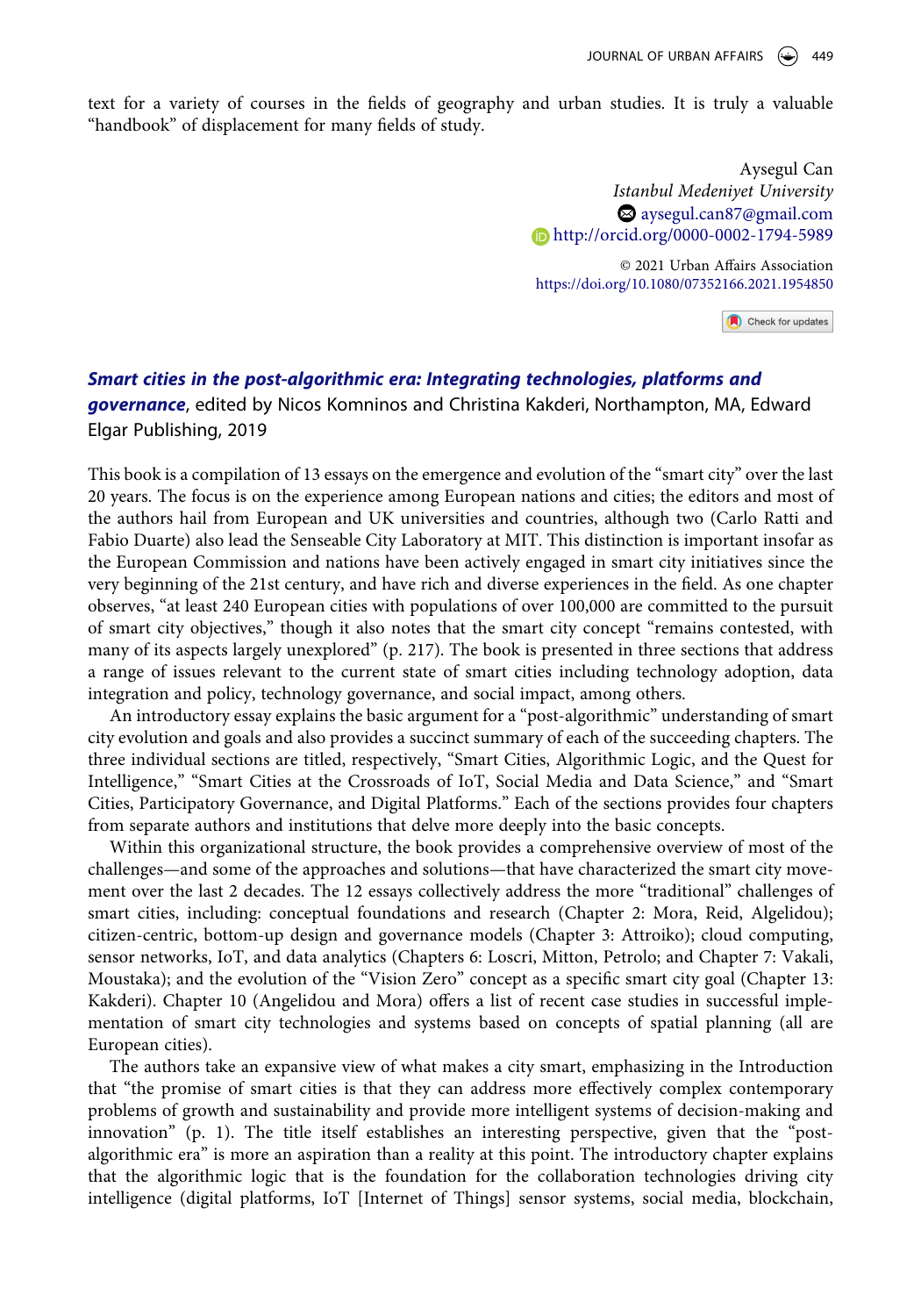text for a variety of courses in the fields of geography and urban studies. It is truly a valuable "handbook" of displacement for many fields of study.

> Aysegul Can *Istanbul Medeniyet University*  aysegul.can87@gmail.com http://orcid.org/0000-0002-1794-5989

© 2021 Urban Affairs Association https://doi.org/10.1080/07352166.2021.1954850

Check for updates

## *Smart cities in the post-algorithmic era: Integrating technologies, platforms and governance*, edited by Nicos Komninos and Christina Kakderi, Northampton, MA, Edward Elgar Publishing, 2019

This book is a compilation of 13 essays on the emergence and evolution of the "smart city" over the last 20 years. The focus is on the experience among European nations and cities; the editors and most of the authors hail from European and UK universities and countries, although two (Carlo Ratti and Fabio Duarte) also lead the Senseable City Laboratory at MIT. This distinction is important insofar as the European Commission and nations have been actively engaged in smart city initiatives since the very beginning of the 21st century, and have rich and diverse experiences in the field. As one chapter observes, "at least 240 European cities with populations of over 100,000 are committed to the pursuit of smart city objectives," though it also notes that the smart city concept "remains contested, with many of its aspects largely unexplored" (p. 217). The book is presented in three sections that address a range of issues relevant to the current state of smart cities including technology adoption, data integration and policy, technology governance, and social impact, among others.

An introductory essay explains the basic argument for a "post-algorithmic" understanding of smart city evolution and goals and also provides a succinct summary of each of the succeeding chapters. The three individual sections are titled, respectively, "Smart Cities, Algorithmic Logic, and the Quest for Intelligence," "Smart Cities at the Crossroads of IoT, Social Media and Data Science," and "Smart Cities, Participatory Governance, and Digital Platforms." Each of the sections provides four chapters from separate authors and institutions that delve more deeply into the basic concepts.

Within this organizational structure, the book provides a comprehensive overview of most of the challenges—and some of the approaches and solutions—that have characterized the smart city movement over the last 2 decades. The 12 essays collectively address the more "traditional" challenges of smart cities, including: conceptual foundations and research (Chapter 2: Mora, Reid, Algelidou); citizen-centric, bottom-up design and governance models (Chapter 3: Attroiko); cloud computing, sensor networks, IoT, and data analytics (Chapters 6: Loscri, Mitton, Petrolo; and Chapter 7: Vakali, Moustaka); and the evolution of the "Vision Zero" concept as a specific smart city goal (Chapter 13: Kakderi). Chapter 10 (Angelidou and Mora) offers a list of recent case studies in successful implementation of smart city technologies and systems based on concepts of spatial planning (all are European cities).

The authors take an expansive view of what makes a city smart, emphasizing in the Introduction that "the promise of smart cities is that they can address more effectively complex contemporary problems of growth and sustainability and provide more intelligent systems of decision-making and innovation" (p. 1). The title itself establishes an interesting perspective, given that the "postalgorithmic era" is more an aspiration than a reality at this point. The introductory chapter explains that the algorithmic logic that is the foundation for the collaboration technologies driving city intelligence (digital platforms, IoT [Internet of Things] sensor systems, social media, blockchain,